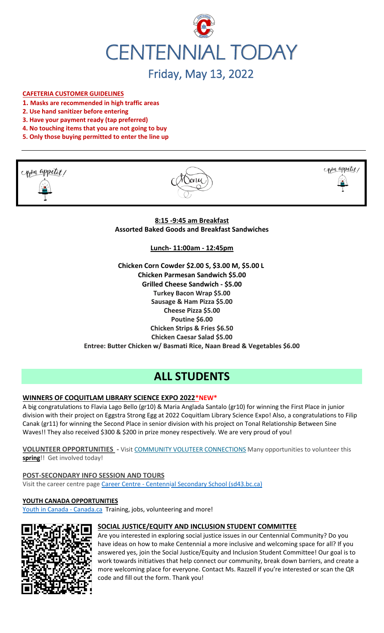

# Friday, May 13, 2022

# **CAFETERIA CUSTOMER GUIDELINES**

- **1. Masks are recommended in high traffic areas**
- **2. Use hand sanitizer before entering**
- **3. Have your payment ready (tap preferred)**
- **4. No touching items that you are not going to buy**
- **5. Only those buying permitted to enter the line up**







**8:15 -9:45 am Breakfast Assorted Baked Goods and Breakfast Sandwiches**

**Lunch- 11:00am - 12:45pm**

**Chicken Corn Cowder \$2.00 S, \$3.00 M, \$5.00 L Chicken Parmesan Sandwich \$5.00 Grilled Cheese Sandwich - \$5.00 Turkey Bacon Wrap \$5.00 Sausage & Ham Pizza \$5.00 Cheese Pizza \$5.00 Poutine \$6.00 Chicken Strips & Fries \$6.50 Chicken Caesar Salad \$5.00 Entree: Butter Chicken w/ Basmati Rice, Naan Bread & Vegetables \$6.00**

# **ALL STUDENTS**

# **WINNERS OF COQUITLAM LIBRARY SCIENCE EXPO 2022\*NEW\***

A big congratulations to Flavia Lago Bello (gr10) & Maria Anglada Santalo (gr10) for winning the First Place in junior division with their project on Eggstra Strong Egg at 2022 Coquitlam Library Science Expo! Also, a congratulations to Filip Canak (gr11) for winning the Second Place in senior division with his project on Tonal Relationship Between Sine Waves!! They also received \$300 & \$200 in prize money respectively. We are very proud of you!

**VOLUNTEER OPPORTUNITIES -** Visit [COMMUNITY VOLUTEER CONNECTIONS](http://cvc.bcvolunteer.ca/?utm_medium=email&_hsmi=212053802&_hsenc=p2ANqtz-9C8dpzKk2EMx5WaRlcu1rFP2YEXC5VAFvsOvn5_wxMc57Cdw3Mh5OQLY2UlP06JDrovG2rZ7VwFdjY3Ko2dQzZDqra3w&utm_content=212053802&utm_source=hs_email) Many opportunities to volunteer this **spring**!! Get involved today!

#### **POST-SECONDARY INFO SESSION AND TOURS**

Visit the career centre page Career Centre - [Centennial Secondary School \(sd43.bc.ca\)](https://www.sd43.bc.ca/school/centennial/ProgramsServices/CareerCentre/postsecondary/Pages/default.aspx#/=)

#### **YOUTH CANADA OPPORTUNITIES**

[Youth in Canada -](https://www.canada.ca/en/services/youth.html) Canada.ca Training, jobs, volunteering and more!



#### **SOCIAL JUSTICE/EQUITY AND INCLUSION STUDENT COMMITTEE**

Are you interested in exploring social justice issues in our Centennial Community? Do you have ideas on how to make Centennial a more inclusive and welcoming space for all? If you answered yes, join the Social Justice/Equity and Inclusion Student Committee! Our goal is to work towards initiatives that help connect our community, break down barriers, and create a more welcoming place for everyone. Contact Ms. Razzell if you're interested or scan the QR code and fill out the form. Thank you!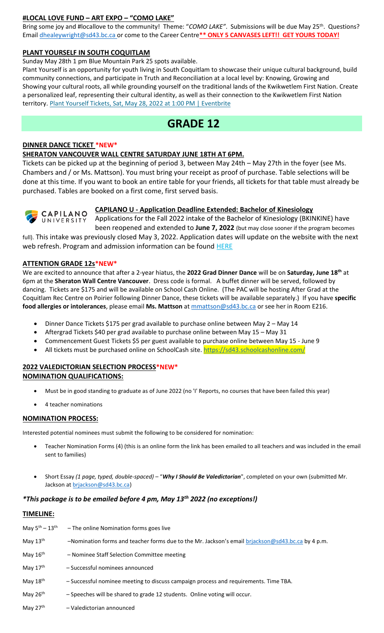# **#LOCAL LOVE FUND – ART EXPO – "COMO LAKE"**

Bring some joy and #locallove to the community! Theme: "COMO LAKE". Submissions will be due May 25<sup>th</sup>. Questions? Email [dhealeywright@sd43.bc.ca](mailto:dhealeywright@sd43.bc.ca) or come to the Career Centre**\*\* ONLY 5 CANVASES LEFT!! GET YOURS TODAY!**

#### **PLANT YOURSELF IN SOUTH COQUITLAM**

#### Sunday May 28th 1 pm Blue Mountain Park 25 spots available.

Plant Yourself is an opportunity for youth living in South Coquitlam to showcase their unique cultural background, build community connections, and participate in Truth and Reconciliation at a local level by: Knowing, Growing and Showing your cultural roots, all while grounding yourself on the traditional lands of the Kwikwetlem First Nation. Create a personalized leaf, representing their cultural identity, as well as their connection to the Kwikwetlem First Nation territory. [Plant Yourself Tickets, Sat, May 28, 2022 at 1:00 PM | Eventbrite](https://www.eventbrite.ca/e/plant-yourself-tickets-335607159047)

# **GRADE 12**

### **DINNER DANCE TICKET \*NEW\***

## **SHERATON VANCOUVER WALL CENTRE SATURDAY JUNE 18TH AT 6PM.**

Tickets can be picked up at the beginning of period 3, between May 24th – May 27th in the foyer (see Ms. Chambers and / or Ms. Mattson). You must bring your receipt as proof of purchase. Table selections will be done at this time. If you want to book an entire table for your friends, all tickets for that table must already be purchased. Tables are booked on a first come, first served basis.



# **CAPILANO U - Application Deadline Extended: Bachelor of Kinesiology**

Applications for the Fall 2022 intake of the Bachelor of Kinesiology (BKINKINE) have been reopened and extended to **June 7, 2022** (but may close sooner if the program becomes

full). This intake was previously closed May 3, 2022. Application dates will update on the website with the next web refresh. Program and admission information can be found **HERE** 

# **ATTENTION GRADE 12s\*NEW\***

We are excited to announce that after a 2-year hiatus, the **2022 Grad Dinner Dance** will be on **Saturday, June 18th** at 6pm at the **Sheraton Wall Centre Vancouver**. Dress code is formal. A buffet dinner will be served, followed by dancing. Tickets are \$175 and will be available on School Cash Online. (The PAC will be hosting After Grad at the Coquitlam Rec Centre on Poirier following Dinner Dance, these tickets will be available separately.) If you have **specific food allergies or intolerances**, please email **Ms. Mattson** at [mmattson@sd43.bc.ca](mailto:mmattson@sd43.bc.ca) or see her in Room E216.

- Dinner Dance Tickets \$175 per grad available to purchase online between May 2 May 14
- Aftergrad Tickets \$40 per grad available to purchase online between May 15 May 31
- Commencement Guest Tickets \$5 per guest available to purchase online between May 15 June 9
- All tickets must be purchased online on SchoolCash site. <https://sd43.schoolcashonline.com/>

#### **2022 VALEDICTORIAN SELECTION PROCESS\*NEW\* NOMINATION QUALIFICATIONS:**

- Must be in good standing to graduate as of June 2022 (no 'I' Reports, no courses that have been failed this year)
- 4 teacher nominations

# **NOMINATION PROCESS:**

Interested potential nominees must submit the following to be considered for nomination:

- Teacher Nomination Forms (4) (this is an online form the link has been emailed to all teachers and was included in the email sent to families)
- Short Essay *(1 page, typed, double-spaced)* "*Why I Should Be Valedictorian*", completed on your own (submitted Mr. Jackson at [brjackson@sd43.bc.ca\)](mailto:bking@sd43.bc.ca)

# *\*This package is to be emailed before 4 pm, May 13th 2022 (no exceptions!)*

#### **TIMELINE:**

| May $5^{\text{th}} - 13^{\text{th}}$ | - The online Nomination forms goes live                                                           |
|--------------------------------------|---------------------------------------------------------------------------------------------------|
| May $13th$                           | -Nomination forms and teacher forms due to the Mr. Jackson's email briackson@sd43.bc.ca by 4 p.m. |
| May $16th$                           | - Nominee Staff Selection Committee meeting                                                       |
| May $17th$                           | - Successful nominees announced                                                                   |
| May $18th$                           | - Successful nominee meeting to discuss campaign process and requirements. Time TBA.              |
| May 26th                             | - Speeches will be shared to grade 12 students. Online voting will occur.                         |
| May $27th$                           | - Valedictorian announced                                                                         |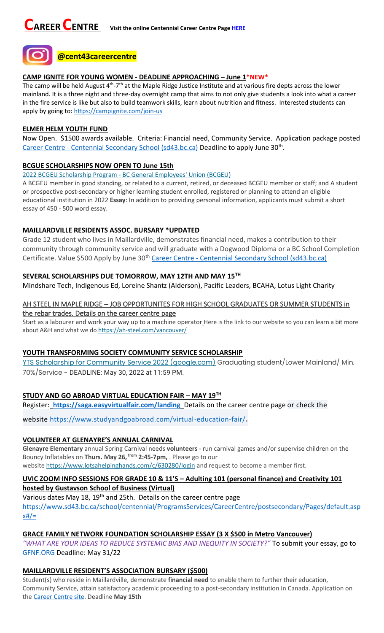

#### **CAMP IGNITE FOR YOUNG WOMEN - DEADLINE APPROACHING – June 1\*NEW\***

The camp will be held August 4<sup>th</sup>-7<sup>th</sup> at the Maple Ridge Justice Institute and at various fire depts across the lower mainland. It is a three night and three-day overnight camp that aims to not only give students a look into what a career in the fire service is like but also to build teamwork skills, learn about nutrition and fitness. Interested students can apply by going to:<https://campignite.com/join-us>

#### **ELMER HELM YOUTH FUND**

Now Open. \$1500 awards available. Criteria: Financial need, Community Service. Application package posted Career Centre - [Centennial Secondary School \(sd43.bc.ca\)](https://www.sd43.bc.ca/school/centennial/ProgramsServices/CareerCentre/financeawards/Pages/default.aspx?InitialTabId=Ribbon%2ERead&VisibilityContext=WSSTabPersistence#/=#InplviewHash02f87063-69d3-4710-8d10-63ddea64e857=) Deadline to apply June 30<sup>th</sup>.

#### **BCGUE SCHOLARSHIPS NOW OPEN TO June 15th**

2022 BCGEU Scholarship Program - [BC General Employees' Union \(BCGEU\)](https://www.bcgeu.ca/2022_bcgeu_scholarship_program)

A BCGEU member in good standing, or related to a current, retired, or deceased BCGEU member or staff; and A student or prospective post-secondary or higher learning student enrolled, registered or planning to attend an eligible educational institution in 2022 **Essay**: In addition to providing personal information, applicants must submit a short essay of 450 - 500 word essay.

#### **MAILLARDVILLE RESIDENTS ASSOC. BURSARY \*UPDATED**

Grade 12 student who lives in Maillardville, demonstrates financial need, makes a contribution to their community through community service and will graduate with a Dogwood Diploma or a BC School Completion Certificate. Value \$500 Apply by June 30<sup>th</sup> Career Centre - [Centennial Secondary School \(sd43.bc.ca\)](https://www.sd43.bc.ca/school/centennial/ProgramsServices/CareerCentre/financeawards/Pages/default.aspx?login=-73147025#/=)

# **SEVERAL SCHOLARSHIPS DUE TOMORROW, MAY 12TH AND MAY 15TH**

Mindshare Tech, Indigenous Ed, Loreine Shantz (Alderson), Pacific Leaders, BCAHA, Lotus Light Charity

# AH STEEL IN MAPLE RIDGE – JOB OPPORTUNITES FOR HIGH SCHOOL GRADUATES OR SUMMER STUDENTS in the rebar trades. Details on the career centre page

Start as a labourer and work your way up to a machine operator Here is the link to our website so you can learn a bit more about A&H and what we do <https://ah-steel.com/vancouver/>

# **YOUTH TRANSFORMING SOCIETY COMMUNITY SERVICE SCHOLARSHIP**

[YTS Scholarship for Community Service 2022 \(google.com\)](https://docs.google.com/forms/d/e/1FAIpQLSeQZEWFkQlGBaklvqyoo4-r4lqu0HoIY_y418VNZeULfBFXIQ/viewform) Graduating student/Lower Mainland/ Min. 70%/Service - DEADLINE: May 30, 2022 at 11:59 PM.

# **STUDY AND GO ABROAD VIRTUAL EDUCATION FAIR – MAY 19TH**

Register: **<https://saga.easyvirtualfair.com/landing>** Details on the career centre page or check the

website <https://www.studyandgoabroad.com/virtual-education-fair/>.

#### **VOLUNTEER AT GLENAYRE'S ANNUAL CARNIVAL**

**Glenayre Elementary** annual Spring Carnival needs **volunteers** - run carnival games and/or supervise children on the Bouncy Inflatables on **Thurs. May 26, from 2:45-7pm,** . Please go to our website <https://www.lotsahelpinghands.com/c/630280/login> and request to become a member first.

# **UVIC ZOOM INFO SESSIONS FOR GRADE 10 & 11'S – Adulting 101 (personal finance) and Creativity 101**

**hosted by Gustavson School of Business (Virtual)**

Various dates May 18, 19<sup>th</sup> and 25th. Details on the career centre page [https://www.sd43.bc.ca/school/centennial/ProgramsServices/CareerCentre/postsecondary/Pages/default.asp](https://www.sd43.bc.ca/school/centennial/ProgramsServices/CareerCentre/postsecondary/Pages/default.aspx#/=)  $x#/=$ 

# **GRACE FAMILY NETWORK FOUNDATION SCHOLARSHIP ESSAY (3 X \$500 in Metro Vancouver)**

*"WHAT ARE YOUR IDEAS TO REDUCE SYSTEMIC BIAS AND INEQUITY IN SOCIETY?"* To submit your essay, go to [GFNF.ORG](http://www.gfnf.org/) Deadline: May 31/22

#### **MAILLARDVILLE RESIDENT'S ASSOCIATION BURSARY (\$500)**

Student(s) who reside in Maillardville, demonstrate **financial need** to enable them to further their education, Community Service, attain satisfactory academic proceeding to a post-secondary institution in Canada. Application on the [Career Centre site.](https://www.sd43.bc.ca/school/centennial/ProgramsServices/CareerCentre/financeawards/Pages/default.aspx#/=) Deadline **May 15th**